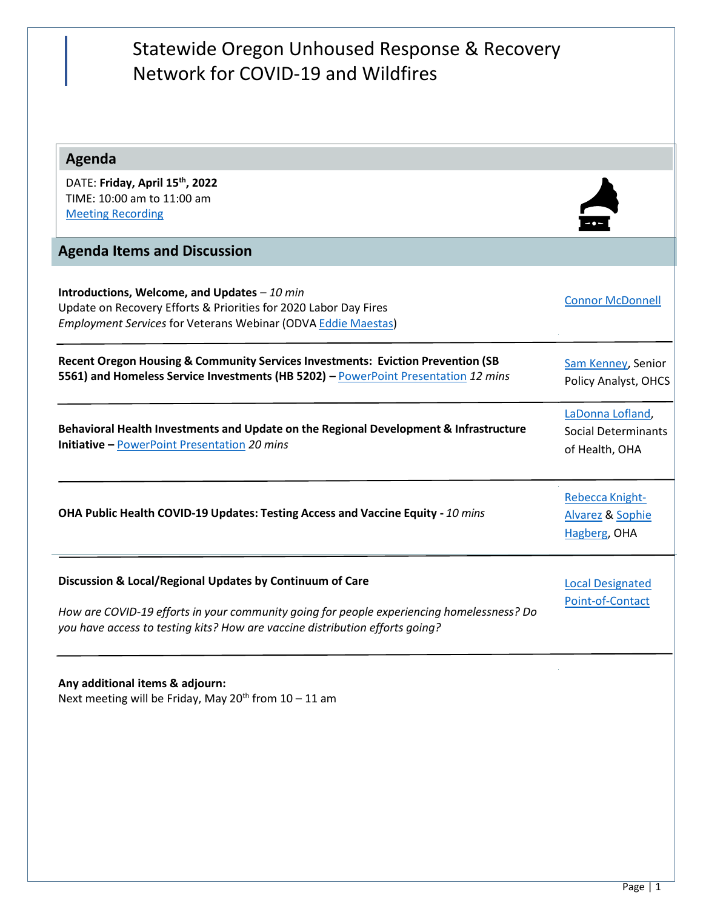| Statewide Oregon Unhoused Response & Recovery<br>Network for COVID-19 and Wildfires                                                                                                                                                   |                                                                  |
|---------------------------------------------------------------------------------------------------------------------------------------------------------------------------------------------------------------------------------------|------------------------------------------------------------------|
| Agenda                                                                                                                                                                                                                                |                                                                  |
| DATE: Friday, April 15th, 2022<br>TIME: 10:00 am to 11:00 am<br><b>Meeting Recording</b>                                                                                                                                              |                                                                  |
| <b>Agenda Items and Discussion</b>                                                                                                                                                                                                    |                                                                  |
| Introductions, Welcome, and Updates $-10$ min<br>Update on Recovery Efforts & Priorities for 2020 Labor Day Fires<br><b>Employment Services for Veterans Webinar (ODVA Eddie Maestas)</b>                                             | <b>Connor McDonnell</b>                                          |
| Recent Oregon Housing & Community Services Investments: Eviction Prevention (SB<br>5561) and Homeless Service Investments (HB 5202) - PowerPoint Presentation 12 mins                                                                 | Sam Kenney, Senior<br>Policy Analyst, OHCS                       |
| Behavioral Health Investments and Update on the Regional Development & Infrastructure<br><b>Initiative - PowerPoint Presentation 20 mins</b>                                                                                          | LaDonna Lofland,<br><b>Social Determinants</b><br>of Health, OHA |
| OHA Public Health COVID-19 Updates: Testing Access and Vaccine Equity - 10 mins                                                                                                                                                       | Rebecca Knight-<br>Alvarez & Sophie<br>Hagberg, OHA              |
| Discussion & Local/Regional Updates by Continuum of Care<br>How are COVID-19 efforts in your community going for people experiencing homelessness? Do<br>you have access to testing kits? How are vaccine distribution efforts going? | <b>Local Designated</b><br>Point-of-Contact                      |
| Any additional items & adjourn:<br>Next meeting will be Friday, May 20 <sup>th</sup> from 10 - 11 am                                                                                                                                  |                                                                  |